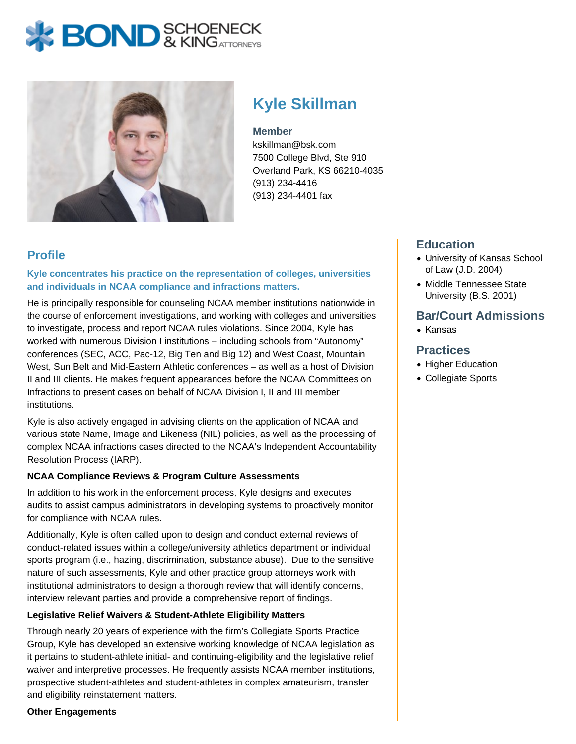# **BOND** & KINGATTORNECK



# **Kyle Skillman**

#### **Member**

kskillman@bsk.com 7500 College Blvd, Ste 910 Overland Park, KS 66210-4035 (913) 234-4416 (913) 234-4401 fax

# **Profile**

**Kyle concentrates his practice on the representation of colleges, universities and individuals in NCAA compliance and infractions matters.** 

He is principally responsible for counseling NCAA member institutions nationwide in the course of enforcement investigations, and working with colleges and universities to investigate, process and report NCAA rules violations. Since 2004, Kyle has worked with numerous Division I institutions – including schools from "Autonomy" conferences (SEC, ACC, Pac-12, Big Ten and Big 12) and West Coast, Mountain West, Sun Belt and Mid-Eastern Athletic conferences – as well as a host of Division II and III clients. He makes frequent appearances before the NCAA Committees on Infractions to present cases on behalf of NCAA Division I, II and III member institutions.

Kyle is also actively engaged in advising clients on the application of NCAA and various state Name, Image and Likeness (NIL) policies, as well as the processing of complex NCAA infractions cases directed to the NCAA's Independent Accountability Resolution Process (IARP).

#### **NCAA Compliance Reviews & Program Culture Assessments**

In addition to his work in the enforcement process, Kyle designs and executes audits to assist campus administrators in developing systems to proactively monitor for compliance with NCAA rules.

Additionally, Kyle is often called upon to design and conduct external reviews of conduct-related issues within a college/university athletics department or individual sports program (i.e., hazing, discrimination, substance abuse). Due to the sensitive nature of such assessments, Kyle and other practice group attorneys work with institutional administrators to design a thorough review that will identify concerns, interview relevant parties and provide a comprehensive report of findings.

#### **Legislative Relief Waivers & Student-Athlete Eligibility Matters**

Through nearly 20 years of experience with the firm's Collegiate Sports Practice Group, Kyle has developed an extensive working knowledge of NCAA legislation as it pertains to student-athlete initial- and continuing-eligibility and the legislative relief waiver and interpretive processes. He frequently assists NCAA member institutions, prospective student-athletes and student-athletes in complex amateurism, transfer and eligibility reinstatement matters.

#### **Other Engagements**

# **Education**

- University of Kansas School of Law (J.D. 2004)
- Middle Tennessee State University (B.S. 2001)

# **Bar/Court Admissions**

• Kansas

## **Practices**

- Higher Education
- Collegiate Sports